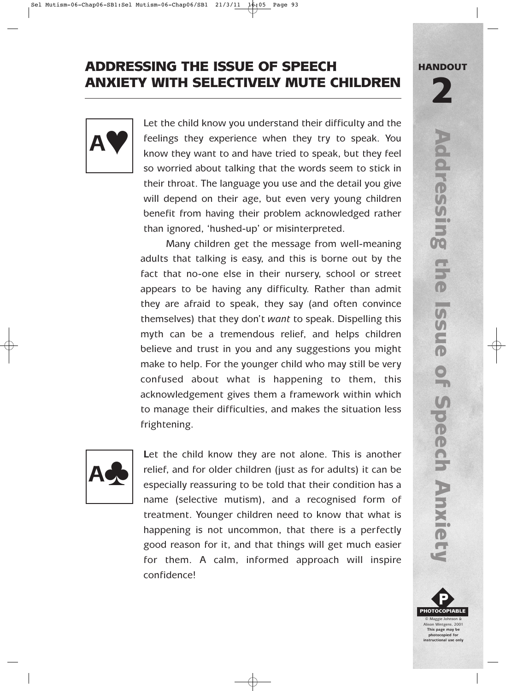## ADDRESSING THE ISSUE OF SPEECH ANXIETY WITH SELECTIVELY MUTE CHILDREN



Let the child know you understand their difficulty and the feelings they experience when they try to speak. You know they want to and have tried to speak, but they feel so worried about talking that the words seem to stick in their throat. The language you use and the detail you give will depend on their age, but even very young children benefit from having their problem acknowledged rather than ignored, 'hushed-up' or misinterpreted.

Many children get the message from well-meaning adults that talking is easy, and this is borne out by the fact that no-one else in their nursery, school or street appears to be having any difficulty. Rather than admit they are afraid to speak, they say (and often convince themselves) that they don't *want* to speak. Dispelling this myth can be a tremendous relief, and helps children believe and trust in you and any suggestions you might make to help. For the younger child who may still be very confused about what is happening to them, this acknowledgement gives them a framework within which to manage their difficulties, and makes the situation less frightening.



Let the child know they are not alone. This is another relief, and for older children (just as for adults) it can be especially reassuring to be told that their condition has a name (selective mutism), and a recognised form of treatment. Younger children need to know that what is happening is not uncommon, that there is a perfectly good reason for it, and that things will get much easier for them. A calm, informed approach will inspire confidence!

HANDOUT